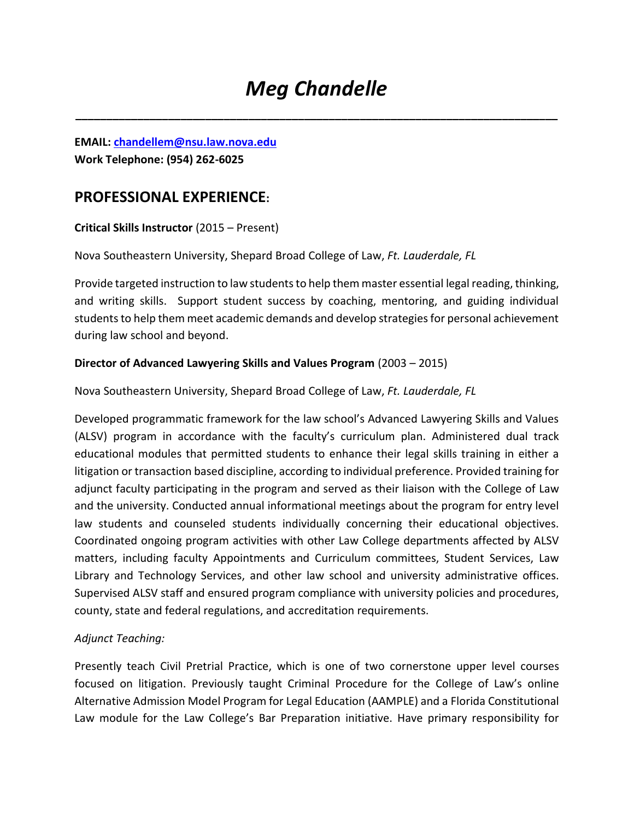**\_\_\_\_\_\_\_\_\_\_\_\_\_\_\_\_\_\_\_\_\_\_\_\_\_\_\_\_\_\_\_\_\_\_\_\_\_\_\_\_\_\_\_\_\_\_\_\_\_\_\_\_\_\_\_\_\_\_\_\_\_\_\_\_\_\_\_\_\_\_\_\_\_\_\_\_\_\_**

**EMAIL: [chandellem@nsu.law.nova.edu](mailto:chandellem@nsu.law.nova.edu) Work Telephone: (954) 262-6025** 

# **PROFESSIONAL EXPERIENCE:**

**Critical Skills Instructor** (2015 – Present)

Nova Southeastern University, Shepard Broad College of Law, *Ft. Lauderdale, FL* 

Provide targeted instruction to law students to help them master essential legal reading, thinking, and writing skills. Support student success by coaching, mentoring, and guiding individual students to help them meet academic demands and develop strategies for personal achievement during law school and beyond.

## **Director of Advanced Lawyering Skills and Values Program** (2003 – 2015)

Nova Southeastern University, Shepard Broad College of Law, *Ft. Lauderdale, FL* 

Developed programmatic framework for the law school's Advanced Lawyering Skills and Values (ALSV) program in accordance with the faculty's curriculum plan. Administered dual track educational modules that permitted students to enhance their legal skills training in either a litigation or transaction based discipline, according to individual preference. Provided training for adjunct faculty participating in the program and served as their liaison with the College of Law and the university. Conducted annual informational meetings about the program for entry level law students and counseled students individually concerning their educational objectives. Coordinated ongoing program activities with other Law College departments affected by ALSV matters, including faculty Appointments and Curriculum committees, Student Services, Law Library and Technology Services, and other law school and university administrative offices. Supervised ALSV staff and ensured program compliance with university policies and procedures, county, state and federal regulations, and accreditation requirements.

## *Adjunct Teaching:*

Presently teach Civil Pretrial Practice, which is one of two cornerstone upper level courses focused on litigation. Previously taught Criminal Procedure for the College of Law's online Alternative Admission Model Program for Legal Education (AAMPLE) and a Florida Constitutional Law module for the Law College's Bar Preparation initiative. Have primary responsibility for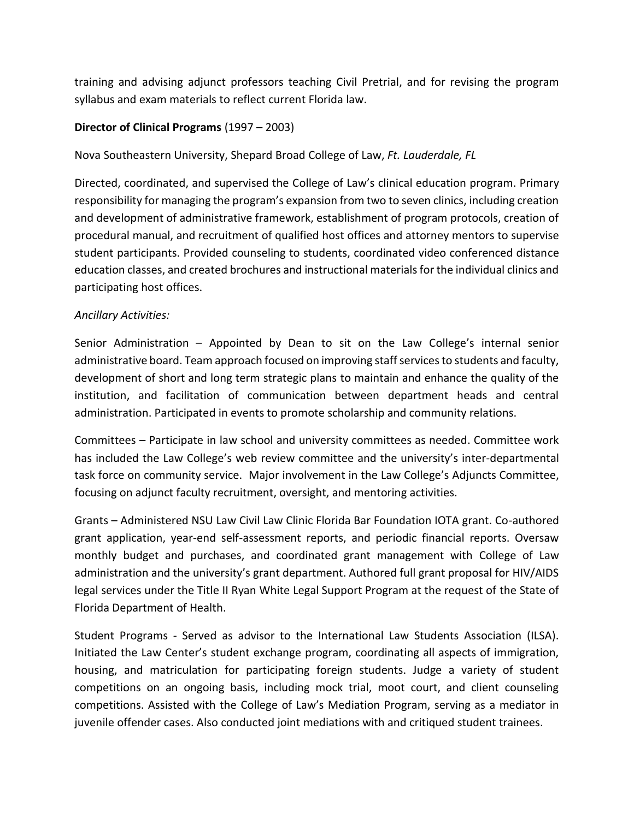training and advising adjunct professors teaching Civil Pretrial, and for revising the program syllabus and exam materials to reflect current Florida law.

## **Director of Clinical Programs** (1997 – 2003)

Nova Southeastern University, Shepard Broad College of Law, *Ft. Lauderdale, FL* 

Directed, coordinated, and supervised the College of Law's clinical education program. Primary responsibility for managing the program's expansion from two to seven clinics, including creation and development of administrative framework, establishment of program protocols, creation of procedural manual, and recruitment of qualified host offices and attorney mentors to supervise student participants. Provided counseling to students, coordinated video conferenced distance education classes, and created brochures and instructional materials for the individual clinics and participating host offices.

### *Ancillary Activities:*

Senior Administration – Appointed by Dean to sit on the Law College's internal senior administrative board. Team approach focused on improving staff services to students and faculty, development of short and long term strategic plans to maintain and enhance the quality of the institution, and facilitation of communication between department heads and central administration. Participated in events to promote scholarship and community relations.

Committees – Participate in law school and university committees as needed. Committee work has included the Law College's web review committee and the university's inter-departmental task force on community service. Major involvement in the Law College's Adjuncts Committee, focusing on adjunct faculty recruitment, oversight, and mentoring activities.

Grants – Administered NSU Law Civil Law Clinic Florida Bar Foundation IOTA grant. Co-authored grant application, year-end self-assessment reports, and periodic financial reports. Oversaw monthly budget and purchases, and coordinated grant management with College of Law administration and the university's grant department. Authored full grant proposal for HIV/AIDS legal services under the Title II Ryan White Legal Support Program at the request of the State of Florida Department of Health.

Student Programs - Served as advisor to the International Law Students Association (ILSA). Initiated the Law Center's student exchange program, coordinating all aspects of immigration, housing, and matriculation for participating foreign students. Judge a variety of student competitions on an ongoing basis, including mock trial, moot court, and client counseling competitions. Assisted with the College of Law's Mediation Program, serving as a mediator in juvenile offender cases. Also conducted joint mediations with and critiqued student trainees.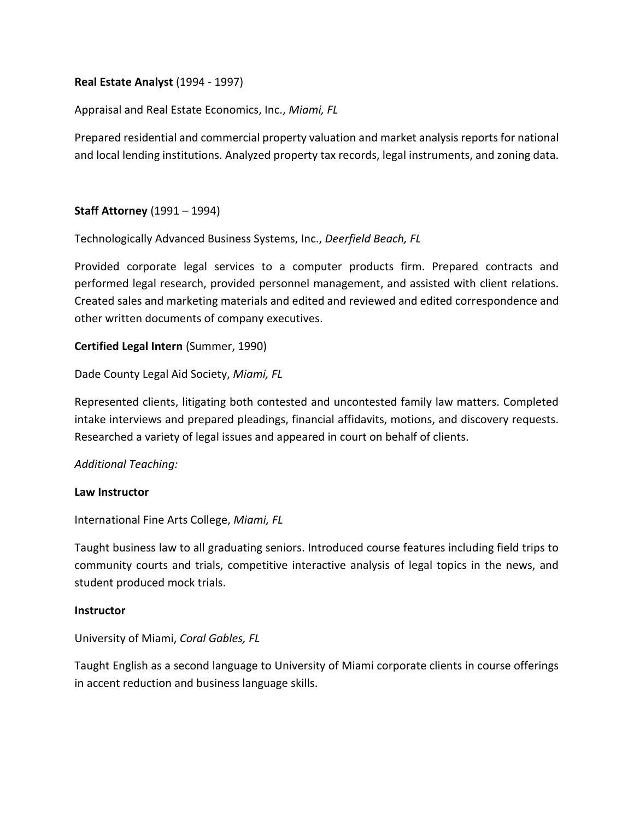**Real Estate Analyst** (1994 - 1997)

Appraisal and Real Estate Economics, Inc., *Miami, FL*

Prepared residential and commercial property valuation and market analysis reports for national and local lending institutions. Analyzed property tax records, legal instruments, and zoning data.

## **Staff Attorney** (1991 – 1994)

Technologically Advanced Business Systems, Inc., *Deerfield Beach, FL* 

Provided corporate legal services to a computer products firm. Prepared contracts and performed legal research, provided personnel management, and assisted with client relations. Created sales and marketing materials and edited and reviewed and edited correspondence and other written documents of company executives.

### **Certified Legal Intern** (Summer, 1990)

Dade County Legal Aid Society, *Miami, FL* 

Represented clients, litigating both contested and uncontested family law matters. Completed intake interviews and prepared pleadings, financial affidavits, motions, and discovery requests. Researched a variety of legal issues and appeared in court on behalf of clients.

#### *Additional Teaching:*

#### **Law Instructor**

International Fine Arts College, *Miami, FL* 

Taught business law to all graduating seniors. Introduced course features including field trips to community courts and trials, competitive interactive analysis of legal topics in the news, and student produced mock trials.

#### **Instructor**

University of Miami, *Coral Gables, FL* 

Taught English as a second language to University of Miami corporate clients in course offerings in accent reduction and business language skills.